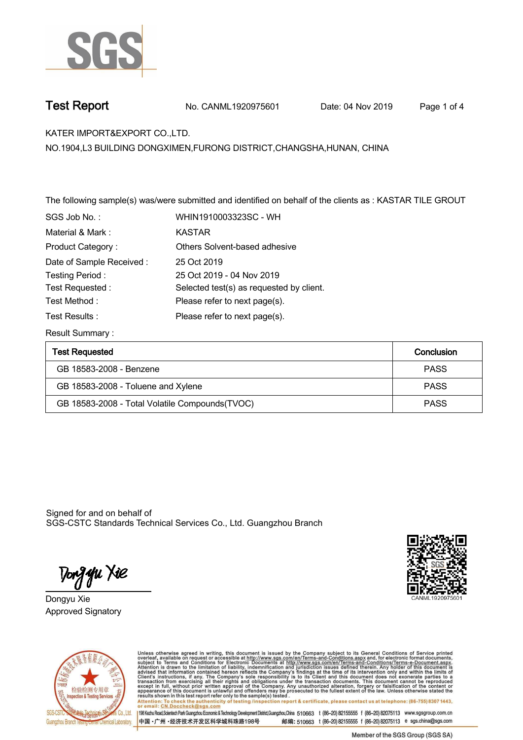

**Test Report. No. CANML1920975601** Date: 04 Nov 2019 Page 1 of 4

**KATER IMPORT&EXPORT CO.,LTD. .**

**NO.1904,L3 BUILDING DONGXIMEN,FURONG DISTRICT,CHANGSHA,HUNAN, CHINA**

**The following sample(s) was/were submitted and identified on behalf of the clients as : KASTAR TILE GROUT .**

| SGS Job No.:             | WHIN1910003323SC - WH                    |
|--------------------------|------------------------------------------|
| Material & Mark:         | KASTAR                                   |
| Product Category:        | Others Solvent-based adhesive            |
| Date of Sample Received: | 25 Oct 2019                              |
| Testing Period:          | 25 Oct 2019 - 04 Nov 2019                |
| Test Requested:          | Selected test(s) as requested by client. |
| Test Method:             | Please refer to next page(s).            |
| Test Results :           | Please refer to next page(s).            |

**Result Summary :.**

| <b>Test Requested</b>                           | Conclusion  |
|-------------------------------------------------|-------------|
| GB 18583-2008 - Benzene                         | <b>PASS</b> |
| GB 18583-2008 - Toluene and Xylene              | <b>PASS</b> |
| GB 18583-2008 - Total Volatile Compounds (TVOC) | <b>PASS</b> |

Signed for and on behalf of SGS-CSTC Standards Technical Services Co., Ltd. Guangzhou Branch.

Tong **y**u Xie

**Dongyu Xie. Approved Signatory . . .**





Unless otherwise agreed in writing, this document is issued by the Company subject to its General Conditions of Service printed overleaf, available on request or accessible at http://www.sgs.com/en/Terms-and-Conditions.asp Attention: To check the authenticity of testing /inspection report & certificate, please contact us at telephone: (86-755) 8307 1443,<br>Attention: To check the authenticity of testing /inspection report & certificate, please

198 Kezhu Road,Scientech Park Guangzhou Economic & Technology Development District,Guangzhou,China 510663 t (86-20) 82155555 f (86-20) 82075113 www.sgsgroup.com.cn 中国·广州·经济技术开发区科学城科珠路198号 邮编: 510663 t (86-20) 82155555 f (86-20) 82075113 e sgs.china@sgs.com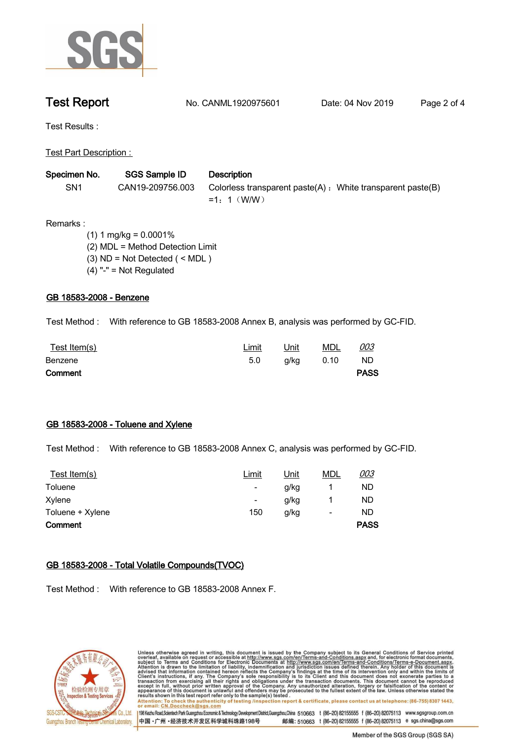

**Test Report. No. CANML1920975601** Date: 04 Nov 2019 Page 2 of 4

**Test Results :.**

**Test Part Description : .**

| Specimen No.    | SGS Sample ID    | <b>Description</b>                                                           |
|-----------------|------------------|------------------------------------------------------------------------------|
| SN <sub>1</sub> | CAN19-209756.003 | Colorless transparent paste(A) : White transparent paste(B)<br>$=1: 1$ (W/W) |

**Remarks :**

 **(1) 1 mg/kg = 0.0001% (2) MDL = Method Detection Limit (3) ND = Not Detected ( < MDL ) (4) "-" = Not Regulated**

# **GB 18583-2008 - Benzene.**

**Test Method :. With reference to GB 18583-2008 Annex B, analysis was performed by GC-FID. .**

| <u>Test Item(s)</u> | Limit | <u>Unit</u> | <b>MDL</b> | 003         |  |
|---------------------|-------|-------------|------------|-------------|--|
| Benzene             | 5.0   | g/kg        | 0.10       | <b>ND</b>   |  |
| Comment             |       |             |            | <b>PASS</b> |  |

# **GB 18583-2008 - Toluene and Xylene.**

**Test Method :. With reference to GB 18583-2008 Annex C, analysis was performed by GC-FID. .**

| Test Item(s)     | Limit | <u>Unit</u> | <b>MDL</b>               | 003         |
|------------------|-------|-------------|--------------------------|-------------|
| Toluene          |       | g/kg        |                          | ND          |
| Xylene           |       | g/kg        |                          | ND          |
| Toluene + Xylene | 150   | g/kg        | $\overline{\phantom{a}}$ | ND          |
| Comment          |       |             |                          | <b>PASS</b> |

# **GB 18583-2008 - Total Volatile Compounds(TVOC).**

**Test Method :. With reference to GB 18583-2008 Annex F. .**



Unless otherwise agreed in writing, this document is issued by the Company subject to its General Conditions of Service printed overleaf, available on request or accessible at http://www.sgs.com/en/Terms-and-Conditions.asp results shown in this test report refer only to the sample(s) tested .<br>Attention: To check the authenticity of testing /inspection report & certificate, please contact us at telephone: (86-755) 8307 1443,<br>or email: <u>CN.Doc</u>

198 Kezhu Road,Scientech Park Guangzhou Economic & Technology Development District,Guangzhou,China 510663 t (86-20) 82155555 f (86-20) 82075113 www.sgsgroup.com.cn 中国·广州·经济技术开发区科学城科珠路198号 邮编: 510663 t (86-20) 82155555 f (86-20) 82075113 e sgs.china@sgs.com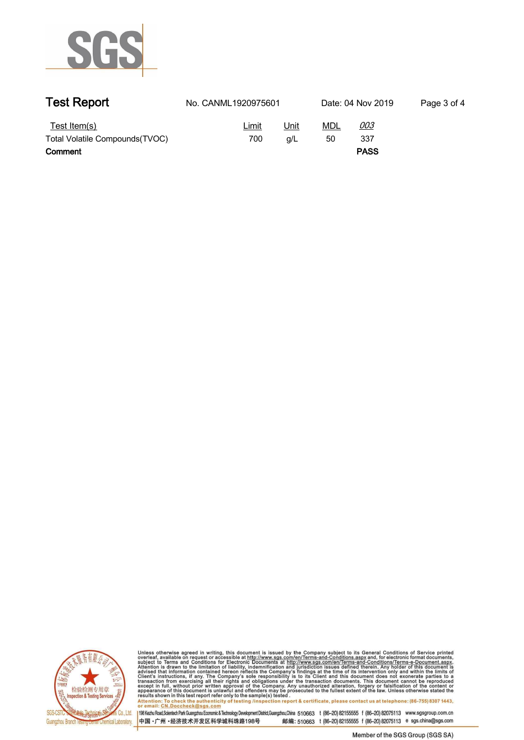

| <b>Test Report</b>                              | No. CANML1920975601 |             | Date: 04 Nov 2019 | Page 3 of 4       |  |
|-------------------------------------------------|---------------------|-------------|-------------------|-------------------|--|
| Test Item(s)<br>Total Volatile Compounds (TVOC) | Limit<br>700        | Unit<br>q/L | MDL<br>50         | <u>003</u><br>337 |  |
| Comment                                         |                     |             |                   | <b>PASS</b>       |  |



Unless otherwise agreed in writing, this document is issued by the Company subject to its General Conditions of Service printed<br>overleaf, available on request or accessible at http://www.sgs.com/en/Terms-and-Conditions.asp

Attention: To chack the authoritiety of testing /inspection report & certificate, please contact us at telephone: (86-755) 8307 1443,<br>Attention: To check the authoritiety of testing /inspection report & certificate, please 198 Kezhu Road,Scientech Park Guangzhou Economic & Technology Development District,Guangzhou,China 510663 t (86-20) 82155555 f (86-20) 82075113 www.sgsgroup.com.cn

邮编: 510663 t (86-20) 82155555 f (86-20) 82075113 e sgs.china@sgs.com 中国·广州·经济技术开发区科学城科珠路198号